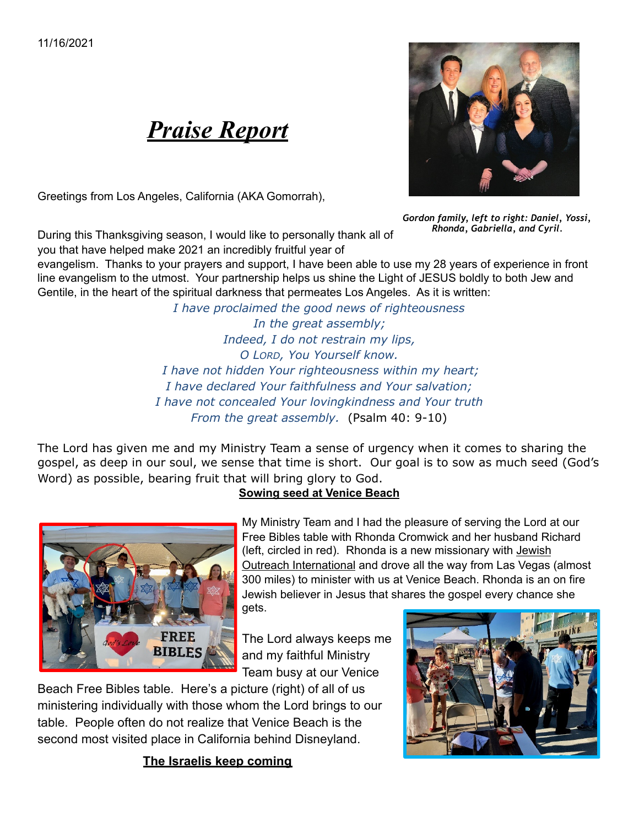

Greetings from Los Angeles, California (AKA Gomorrah),



*Gordon family, left to right: Daniel, Yossi, Rhonda, Gabriella, and Cyril.*

During this Thanksgiving season, I would like to personally thank all of you that have helped make 2021 an incredibly fruitful year of

evangelism. Thanks to your prayers and support, I have been able to use my 28 years of experience in front line evangelism to the utmost. Your partnership helps us shine the Light of JESUS boldly to both Jew and Gentile, in the heart of the spiritual darkness that permeates Los Angeles. As it is written:

> *I have proclaimed the good news of righteousness In the great assembly; Indeed, I do not restrain my lips, O LORD, You Yourself know. I have not hidden Your righteousness within my heart; I have declared Your faithfulness and Your salvation; I have not concealed Your lovingkindness and Your truth From the great assembly.* (Psalm 40: 9-10)

The Lord has given me and my Ministry Team a sense of urgency when it comes to sharing the gospel, as deep in our soul, we sense that time is short. Our goal is to sow as much seed (God's Word) as possible, bearing fruit that will bring glory to God.

## **Sowing seed at Venice Beach**



My Ministry Team and I had the pleasure of serving the Lord at our Free Bibles table with Rhonda Cromwick and her husband Richard (left, circled in red). Rhonda is a new missionary with Jewish Outreach International and drove all the way from Las Vegas (almost 300 miles) to minister with us at Venice Beach. Rhonda is an on fire Jewish believer in Jesus that shares the gospel every chance she gets.

The Lord always keeps me and my faithful Ministry Team busy at our Venice

Beach Free Bibles table. Here's a picture (right) of all of us ministering individually with those whom the Lord brings to our table. People often do not realize that Venice Beach is the second most visited place in California behind Disneyland.

**The Israelis keep coming**